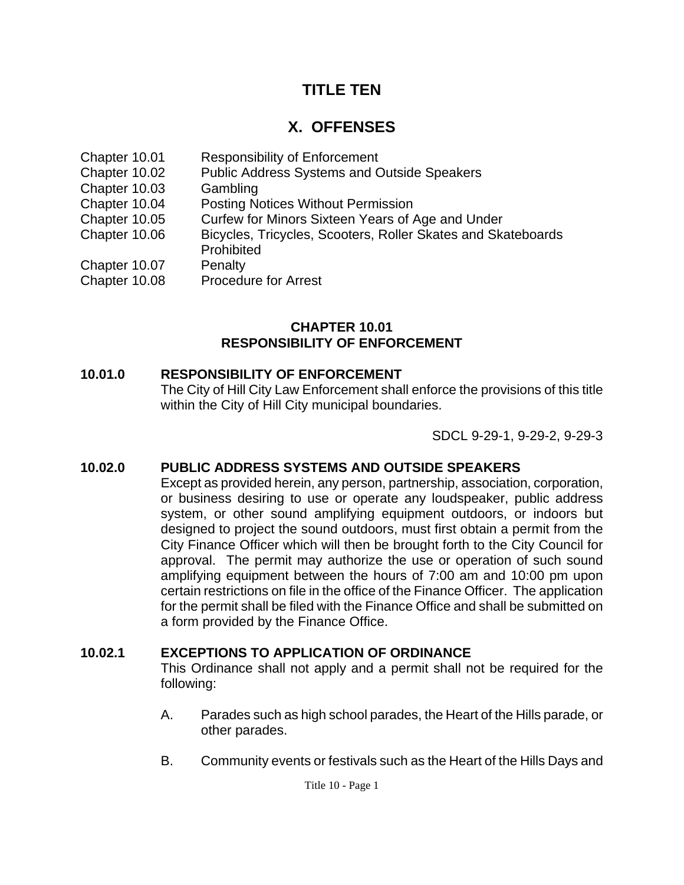# **TITLE TEN**

# **X. OFFENSES**

- Chapter 10.01 Responsibility of Enforcement
- Chapter 10.02 Public Address Systems and Outside Speakers
- Chapter 10.03 Gambling
- Chapter 10.04 Posting Notices Without Permission
- Chapter 10.05 Curfew for Minors Sixteen Years of Age and Under
- Chapter 10.06 Bicycles, Tricycles, Scooters, Roller Skates and Skateboards Prohibited
- 
- Chapter 10.07 Penalty
- Chapter 10.08 Procedure for Arrest

#### **CHAPTER 10.01 RESPONSIBILITY OF ENFORCEMENT**

### **10.01.0 RESPONSIBILITY OF ENFORCEMENT**

The City of Hill City Law Enforcement shall enforce the provisions of this title within the City of Hill City municipal boundaries.

SDCL 9-29-1, 9-29-2, 9-29-3

# **10.02.0 PUBLIC ADDRESS SYSTEMS AND OUTSIDE SPEAKERS**

Except as provided herein, any person, partnership, association, corporation, or business desiring to use or operate any loudspeaker, public address system, or other sound amplifying equipment outdoors, or indoors but designed to project the sound outdoors, must first obtain a permit from the City Finance Officer which will then be brought forth to the City Council for approval. The permit may authorize the use or operation of such sound amplifying equipment between the hours of 7:00 am and 10:00 pm upon certain restrictions on file in the office of the Finance Officer. The application for the permit shall be filed with the Finance Office and shall be submitted on a form provided by the Finance Office.

# **10.02.1 EXCEPTIONS TO APPLICATION OF ORDINANCE**

This Ordinance shall not apply and a permit shall not be required for the following:

- A. Parades such as high school parades, the Heart of the Hills parade, or other parades.
- B. Community events or festivals such as the Heart of the Hills Days and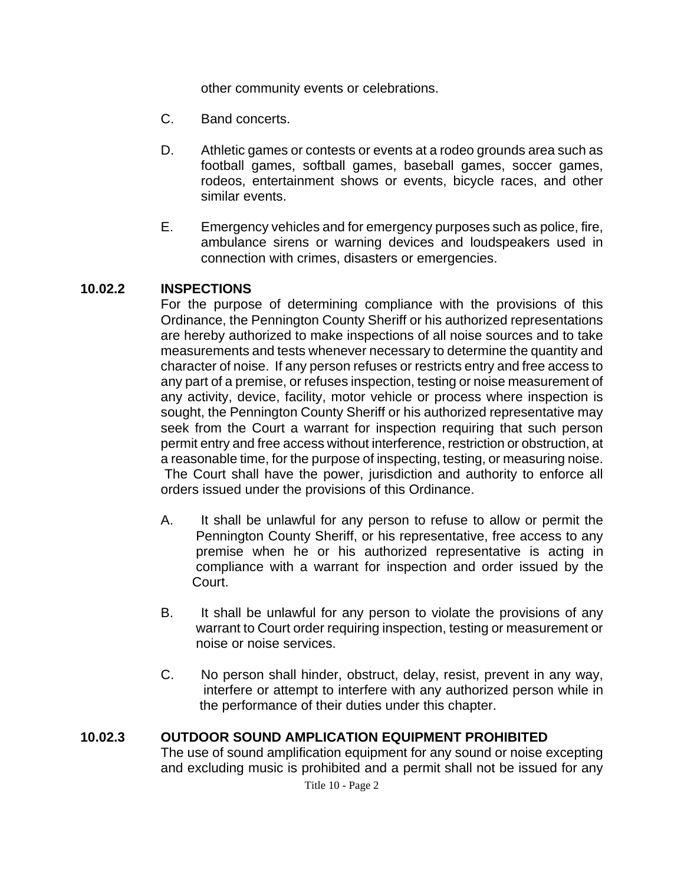other community events or celebrations.

- C. Band concerts.
- D. Athletic games or contests or events at a rodeo grounds area such as football games, softball games, baseball games, soccer games, rodeos, entertainment shows or events, bicycle races, and other similar events.
- E. Emergency vehicles and for emergency purposes such as police, fire, ambulance sirens or warning devices and loudspeakers used in connection with crimes, disasters or emergencies.

#### **10.02.2 INSPECTIONS**

For the purpose of determining compliance with the provisions of this Ordinance, the Pennington County Sheriff or his authorized representations are hereby authorized to make inspections of all noise sources and to take measurements and tests whenever necessary to determine the quantity and character of noise. If any person refuses or restricts entry and free access to any part of a premise, or refuses inspection, testing or noise measurement of any activity, device, facility, motor vehicle or process where inspection is sought, the Pennington County Sheriff or his authorized representative may seek from the Court a warrant for inspection requiring that such person permit entry and free access without interference, restriction or obstruction, at a reasonable time, for the purpose of inspecting, testing, or measuring noise. The Court shall have the power, jurisdiction and authority to enforce all orders issued under the provisions of this Ordinance.

- A. It shall be unlawful for any person to refuse to allow or permit the Pennington County Sheriff, or his representative, free access to any premise when he or his authorized representative is acting in compliance with a warrant for inspection and order issued by the Court.
- B. It shall be unlawful for any person to violate the provisions of any warrant to Court order requiring inspection, testing or measurement or noise or noise services.
- C. No person shall hinder, obstruct, delay, resist, prevent in any way, interfere or attempt to interfere with any authorized person while in the performance of their duties under this chapter.

#### **10.02.3 OUTDOOR SOUND AMPLICATION EQUIPMENT PROHIBITED**

The use of sound amplification equipment for any sound or noise excepting and excluding music is prohibited and a permit shall not be issued for any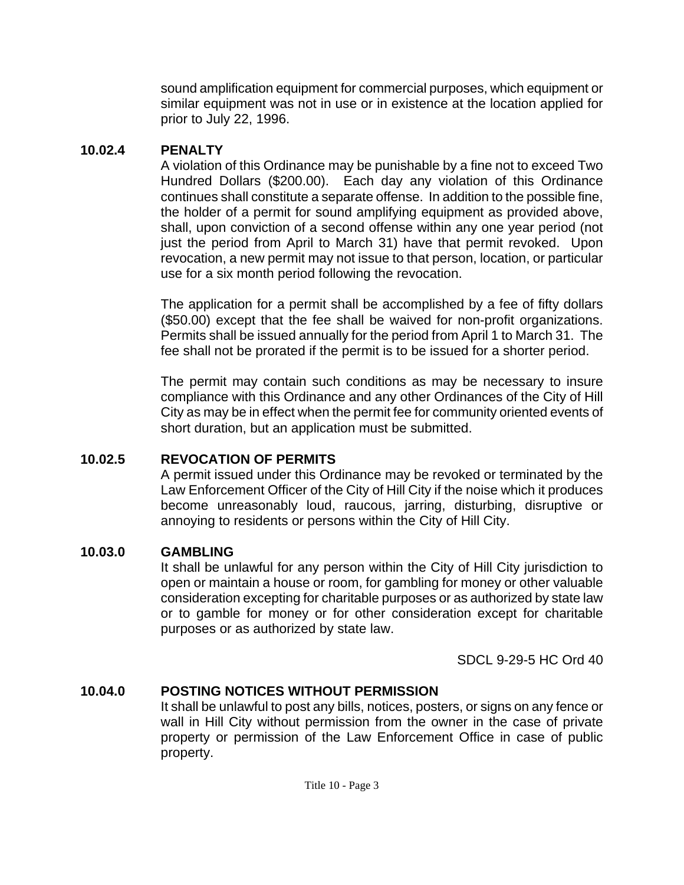sound amplification equipment for commercial purposes, which equipment or similar equipment was not in use or in existence at the location applied for prior to July 22, 1996.

### **10.02.4 PENALTY**

A violation of this Ordinance may be punishable by a fine not to exceed Two Hundred Dollars (\$200.00). Each day any violation of this Ordinance continues shall constitute a separate offense. In addition to the possible fine, the holder of a permit for sound amplifying equipment as provided above, shall, upon conviction of a second offense within any one year period (not just the period from April to March 31) have that permit revoked. Upon revocation, a new permit may not issue to that person, location, or particular use for a six month period following the revocation.

The application for a permit shall be accomplished by a fee of fifty dollars (\$50.00) except that the fee shall be waived for non-profit organizations. Permits shall be issued annually for the period from April 1 to March 31. The fee shall not be prorated if the permit is to be issued for a shorter period.

The permit may contain such conditions as may be necessary to insure compliance with this Ordinance and any other Ordinances of the City of Hill City as may be in effect when the permit fee for community oriented events of short duration, but an application must be submitted.

# **10.02.5 REVOCATION OF PERMITS**

A permit issued under this Ordinance may be revoked or terminated by the Law Enforcement Officer of the City of Hill City if the noise which it produces become unreasonably loud, raucous, jarring, disturbing, disruptive or annoying to residents or persons within the City of Hill City.

# **10.03.0 GAMBLING**

It shall be unlawful for any person within the City of Hill City jurisdiction to open or maintain a house or room, for gambling for money or other valuable consideration excepting for charitable purposes or as authorized by state law or to gamble for money or for other consideration except for charitable purposes or as authorized by state law.

SDCL 9-29-5 HC Ord 40

# **10.04.0 POSTING NOTICES WITHOUT PERMISSION**

It shall be unlawful to post any bills, notices, posters, or signs on any fence or wall in Hill City without permission from the owner in the case of private property or permission of the Law Enforcement Office in case of public property.